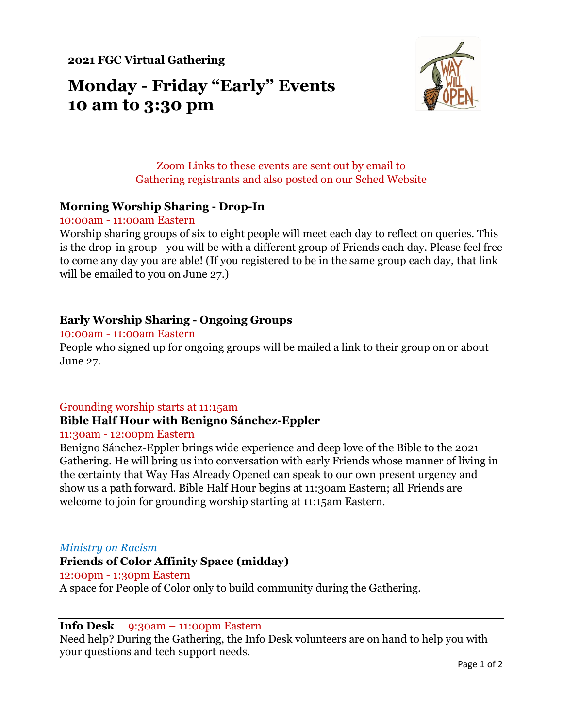**2021 FGC Virtual Gathering**

# **Monday - Friday "Early" Events 10 am to 3:30 pm**



# Zoom Links to these events are sent out by email to Gathering registrants and also posted on our Sched Website

## **Morning Worship Sharing - Drop-In**

#### 10:00am - 11:00am Eastern

Worship sharing groups of six to eight people will meet each day to reflect on queries. This is the drop-in group - you will be with a different group of Friends each day. Please feel free to come any day you are able! (If you registered to be in the same group each day, that link will be emailed to you on June 27.)

## **Early Worship Sharing - Ongoing Groups**

#### 10:00am - 11:00am Eastern

People who signed up for ongoing groups will be mailed a link to their group on or about June 27.

#### Grounding worship starts at 11:15am

# **Bible Half Hour with Benigno Sánchez-Eppler**

#### 11:30am - 12:00pm Eastern

Benigno Sánchez-Eppler brings wide experience and deep love of the Bible to the 2021 Gathering. He will bring us into conversation with early Friends whose manner of living in the certainty that Way Has Already Opened can speak to our own present urgency and show us a path forward. Bible Half Hour begins at 11:30am Eastern; all Friends are welcome to join for grounding worship starting at 11:15am Eastern.

#### *Ministry on Racism*

#### **Friends of Color Affinity Space (midday)**

#### 12:00pm - 1:30pm Eastern

A space for People of Color only to build community during the Gathering.

#### **Info Desk** 9:30am – 11:00pm Eastern

Need help? During the Gathering, the Info Desk volunteers are on hand to help you with your questions and tech support needs.